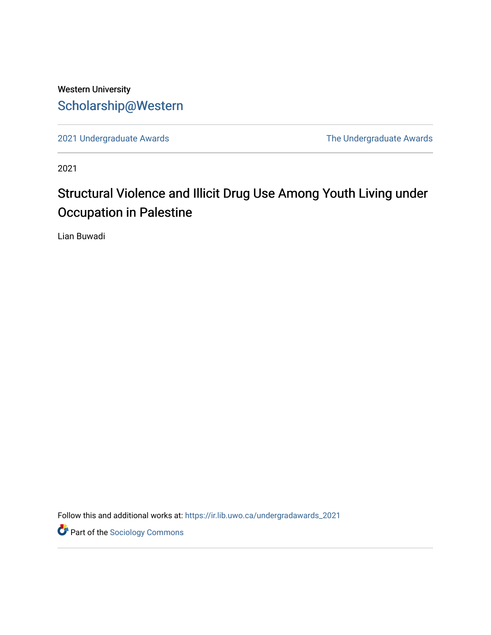# Western University [Scholarship@Western](https://ir.lib.uwo.ca/)

[2021 Undergraduate Awards](https://ir.lib.uwo.ca/undergradawards_2021) [The Undergraduate Awards](https://ir.lib.uwo.ca/ungradawards) 

2021

# Structural Violence and Illicit Drug Use Among Youth Living under Occupation in Palestine

Lian Buwadi

Follow this and additional works at: [https://ir.lib.uwo.ca/undergradawards\\_2021](https://ir.lib.uwo.ca/undergradawards_2021?utm_source=ir.lib.uwo.ca%2Fundergradawards_2021%2F1&utm_medium=PDF&utm_campaign=PDFCoverPages) 

**Part of the [Sociology Commons](http://network.bepress.com/hgg/discipline/416?utm_source=ir.lib.uwo.ca%2Fundergradawards_2021%2F1&utm_medium=PDF&utm_campaign=PDFCoverPages)**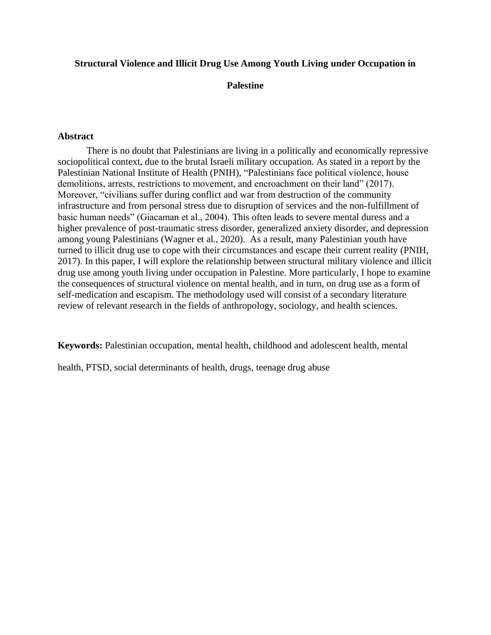#### **Structural Violence and Illicit Drug Use Among Youth Living under Occupation in**

### **Palestine**

#### **Abstract**

There is no doubt that Palestinians are living in a politically and economically repressive sociopolitical context, due to the brutal Israeli military occupation. As stated in a report by the Palestinian National Institute of Health (PNIH), "Palestinians face political violence, house demolitions, arrests, restrictions to movement, and encroachment on their land" (2017). Moreover, "civilians suffer during conflict and war from destruction of the community infrastructure and from personal stress due to disruption of services and the non-fulfillment of basic human needs" (Giacaman et al., 2004). This often leads to severe mental duress and a higher prevalence of post-traumatic stress disorder, generalized anxiety disorder, and depression among young Palestinians (Wagner et al., 2020). As a result, many Palestinian youth have turned to illicit drug use to cope with their circumstances and escape their current reality (PNIH, 2017). In this paper, I will explore the relationship between structural military violence and illicit drug use among youth living under occupation in Palestine. More particularly, I hope to examine the consequences of structural violence on mental health, and in turn, on drug use as a form of self-medication and escapism. The methodology used will consist of a secondary literature review of relevant research in the fields of anthropology, sociology, and health sciences.

**Keywords:** Palestinian occupation, mental health, childhood and adolescent health, mental

health, PTSD, social determinants of health, drugs, teenage drug abuse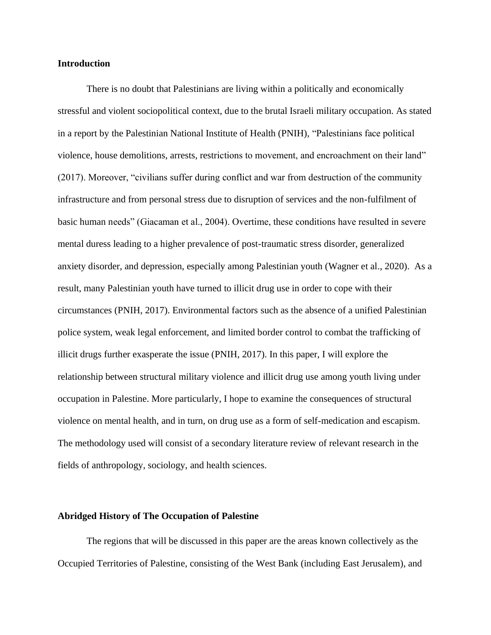#### **Introduction**

There is no doubt that Palestinians are living within a politically and economically stressful and violent sociopolitical context, due to the brutal Israeli military occupation. As stated in a report by the Palestinian National Institute of Health (PNIH), "Palestinians face political violence, house demolitions, arrests, restrictions to movement, and encroachment on their land" (2017). Moreover, "civilians suffer during conflict and war from destruction of the community infrastructure and from personal stress due to disruption of services and the non-fulfilment of basic human needs" (Giacaman et al., 2004). Overtime, these conditions have resulted in severe mental duress leading to a higher prevalence of post-traumatic stress disorder, generalized anxiety disorder, and depression, especially among Palestinian youth (Wagner et al., 2020). As a result, many Palestinian youth have turned to illicit drug use in order to cope with their circumstances (PNIH, 2017). Environmental factors such as the absence of a unified Palestinian police system, weak legal enforcement, and limited border control to combat the trafficking of illicit drugs further exasperate the issue (PNIH, 2017). In this paper, I will explore the relationship between structural military violence and illicit drug use among youth living under occupation in Palestine. More particularly, I hope to examine the consequences of structural violence on mental health, and in turn, on drug use as a form of self-medication and escapism. The methodology used will consist of a secondary literature review of relevant research in the fields of anthropology, sociology, and health sciences.

## **Abridged History of The Occupation of Palestine**

The regions that will be discussed in this paper are the areas known collectively as the Occupied Territories of Palestine, consisting of the West Bank (including East Jerusalem), and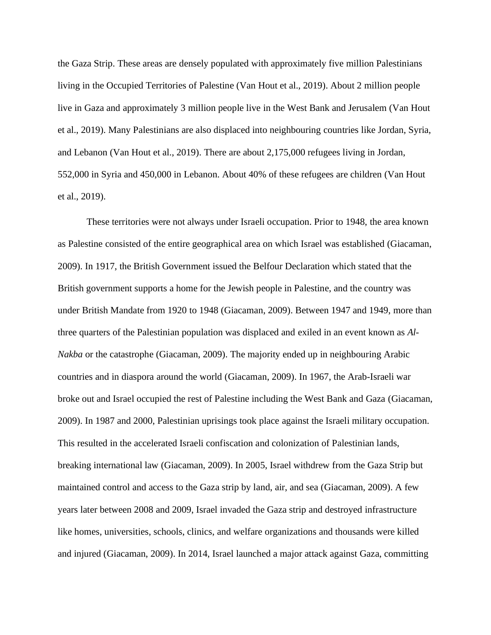the Gaza Strip. These areas are densely populated with approximately five million Palestinians living in the Occupied Territories of Palestine (Van Hout et al., 2019). About 2 million people live in Gaza and approximately 3 million people live in the West Bank and Jerusalem (Van Hout et al., 2019). Many Palestinians are also displaced into neighbouring countries like Jordan, Syria, and Lebanon (Van Hout et al., 2019). There are about 2,175,000 refugees living in Jordan, 552,000 in Syria and 450,000 in Lebanon. About 40% of these refugees are children (Van Hout et al., 2019).

These territories were not always under Israeli occupation. Prior to 1948, the area known as Palestine consisted of the entire geographical area on which Israel was established (Giacaman, 2009). In 1917, the British Government issued the Belfour Declaration which stated that the British government supports a home for the Jewish people in Palestine, and the country was under British Mandate from 1920 to 1948 (Giacaman, 2009). Between 1947 and 1949, more than three quarters of the Palestinian population was displaced and exiled in an event known as *Al-Nakba* or the catastrophe (Giacaman, 2009). The majority ended up in neighbouring Arabic countries and in diaspora around the world (Giacaman, 2009). In 1967, the Arab-Israeli war broke out and Israel occupied the rest of Palestine including the West Bank and Gaza (Giacaman, 2009). In 1987 and 2000, Palestinian uprisings took place against the Israeli military occupation. This resulted in the accelerated Israeli confiscation and colonization of Palestinian lands, breaking international law (Giacaman, 2009). In 2005, Israel withdrew from the Gaza Strip but maintained control and access to the Gaza strip by land, air, and sea (Giacaman, 2009). A few years later between 2008 and 2009, Israel invaded the Gaza strip and destroyed infrastructure like homes, universities, schools, clinics, and welfare organizations and thousands were killed and injured (Giacaman, 2009). In 2014, Israel launched a major attack against Gaza, committing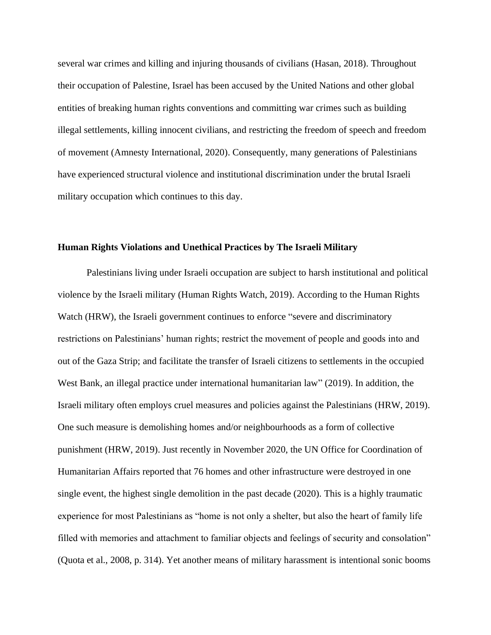several war crimes and killing and injuring thousands of civilians (Hasan, 2018). Throughout their occupation of Palestine, Israel has been accused by the United Nations and other global entities of breaking human rights conventions and committing war crimes such as building illegal settlements, killing innocent civilians, and restricting the freedom of speech and freedom of movement (Amnesty International, 2020). Consequently, many generations of Palestinians have experienced structural violence and institutional discrimination under the brutal Israeli military occupation which continues to this day.

#### **Human Rights Violations and Unethical Practices by The Israeli Military**

Palestinians living under Israeli occupation are subject to harsh institutional and political violence by the Israeli military (Human Rights Watch, 2019). According to the Human Rights Watch (HRW), the Israeli government continues to enforce "severe and discriminatory restrictions on Palestinians' human rights; restrict the movement of people and goods into and out of the Gaza Strip; and facilitate the transfer of Israeli citizens to settlements in the occupied West Bank, an illegal practice under international humanitarian law" (2019). In addition, the Israeli military often employs cruel measures and policies against the Palestinians (HRW, 2019). One such measure is demolishing homes and/or neighbourhoods as a form of collective punishment (HRW, 2019). Just recently in November 2020, the UN Office for Coordination of Humanitarian Affairs reported that 76 homes and other infrastructure were destroyed in one single event, the highest single demolition in the past decade (2020). This is a highly traumatic experience for most Palestinians as "home is not only a shelter, but also the heart of family life filled with memories and attachment to familiar objects and feelings of security and consolation" (Quota et al., 2008, p. 314). Yet another means of military harassment is intentional sonic booms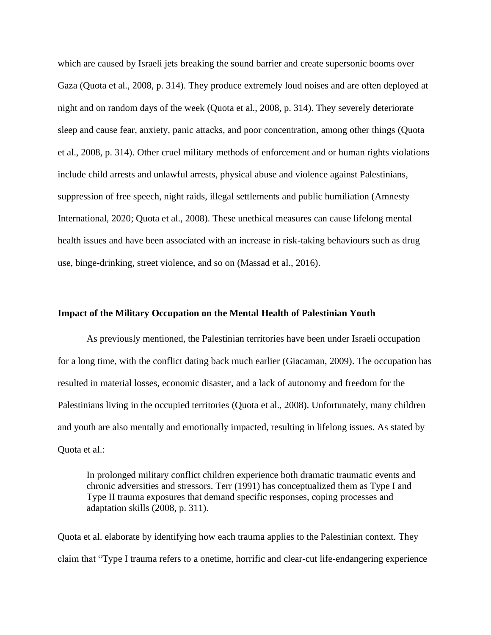which are caused by Israeli jets breaking the sound barrier and create supersonic booms over Gaza (Quota et al., 2008, p. 314). They produce extremely loud noises and are often deployed at night and on random days of the week (Quota et al., 2008, p. 314). They severely deteriorate sleep and cause fear, anxiety, panic attacks, and poor concentration, among other things (Quota et al., 2008, p. 314). Other cruel military methods of enforcement and or human rights violations include child arrests and unlawful arrests, physical abuse and violence against Palestinians, suppression of free speech, night raids, illegal settlements and public humiliation (Amnesty International, 2020; Quota et al., 2008). These unethical measures can cause lifelong mental health issues and have been associated with an increase in risk-taking behaviours such as drug use, binge-drinking, street violence, and so on (Massad et al., 2016).

#### **Impact of the Military Occupation on the Mental Health of Palestinian Youth**

As previously mentioned, the Palestinian territories have been under Israeli occupation for a long time, with the conflict dating back much earlier (Giacaman, 2009). The occupation has resulted in material losses, economic disaster, and a lack of autonomy and freedom for the Palestinians living in the occupied territories (Quota et al., 2008). Unfortunately, many children and youth are also mentally and emotionally impacted, resulting in lifelong issues. As stated by Quota et al.:

In prolonged military conflict children experience both dramatic traumatic events and chronic adversities and stressors. Terr (1991) has conceptualized them as Type I and Type II trauma exposures that demand specific responses, coping processes and adaptation skills (2008, p. 311).

Quota et al. elaborate by identifying how each trauma applies to the Palestinian context. They claim that "Type I trauma refers to a onetime, horrific and clear-cut life-endangering experience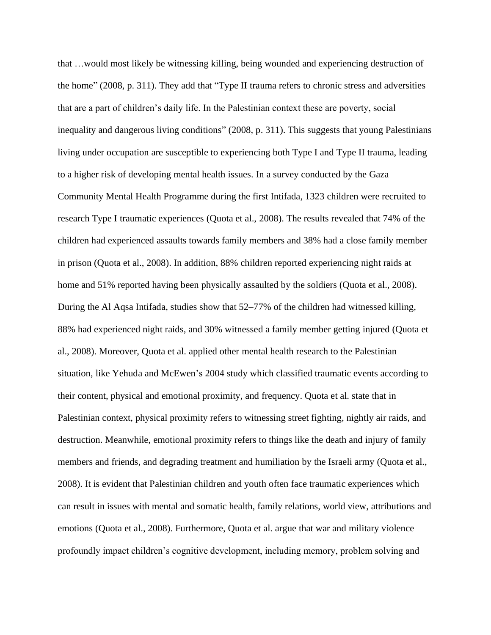that …would most likely be witnessing killing, being wounded and experiencing destruction of the home" (2008, p. 311). They add that "Type II trauma refers to chronic stress and adversities that are a part of children's daily life. In the Palestinian context these are poverty, social inequality and dangerous living conditions" (2008, p. 311). This suggests that young Palestinians living under occupation are susceptible to experiencing both Type I and Type II trauma, leading to a higher risk of developing mental health issues. In a survey conducted by the Gaza Community Mental Health Programme during the first Intifada, 1323 children were recruited to research Type I traumatic experiences (Quota et al., 2008). The results revealed that 74% of the children had experienced assaults towards family members and 38% had a close family member in prison (Quota et al., 2008). In addition, 88% children reported experiencing night raids at home and 51% reported having been physically assaulted by the soldiers (Quota et al., 2008). During the Al Aqsa Intifada, studies show that 52–77% of the children had witnessed killing, 88% had experienced night raids, and 30% witnessed a family member getting injured (Quota et al., 2008). Moreover, Quota et al. applied other mental health research to the Palestinian situation, like Yehuda and McEwen's 2004 study which classified traumatic events according to their content, physical and emotional proximity, and frequency. Quota et al. state that in Palestinian context, physical proximity refers to witnessing street fighting, nightly air raids, and destruction. Meanwhile, emotional proximity refers to things like the death and injury of family members and friends, and degrading treatment and humiliation by the Israeli army (Quota et al., 2008). It is evident that Palestinian children and youth often face traumatic experiences which can result in issues with mental and somatic health, family relations, world view, attributions and emotions (Quota et al., 2008). Furthermore, Quota et al. argue that war and military violence profoundly impact children's cognitive development, including memory, problem solving and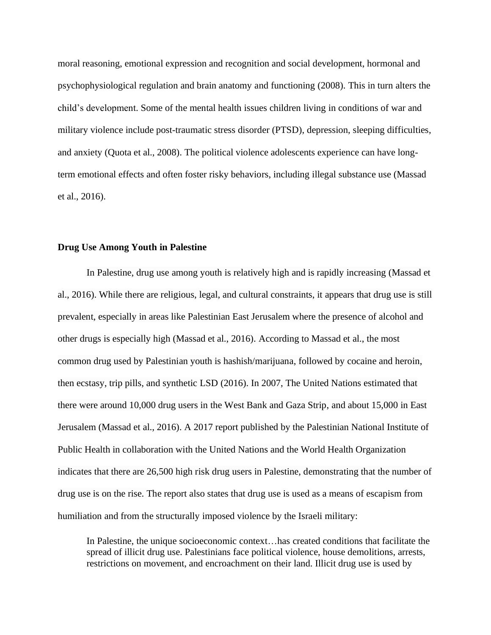moral reasoning, emotional expression and recognition and social development, hormonal and psychophysiological regulation and brain anatomy and functioning (2008). This in turn alters the child's development. Some of the mental health issues children living in conditions of war and military violence include post-traumatic stress disorder (PTSD), depression, sleeping difficulties, and anxiety (Quota et al., 2008). The political violence adolescents experience can have longterm emotional effects and often foster risky behaviors, including illegal substance use (Massad et al., 2016).

#### **Drug Use Among Youth in Palestine**

In Palestine, drug use among youth is relatively high and is rapidly increasing (Massad et al., 2016). While there are religious, legal, and cultural constraints, it appears that drug use is still prevalent, especially in areas like Palestinian East Jerusalem where the presence of alcohol and other drugs is especially high (Massad et al., 2016). According to Massad et al., the most common drug used by Palestinian youth is hashish/marijuana, followed by cocaine and heroin, then ecstasy, trip pills, and synthetic LSD (2016). In 2007, The United Nations estimated that there were around 10,000 drug users in the West Bank and Gaza Strip, and about 15,000 in East Jerusalem (Massad et al., 2016). A 2017 report published by the Palestinian National Institute of Public Health in collaboration with the United Nations and the World Health Organization indicates that there are 26,500 high risk drug users in Palestine, demonstrating that the number of drug use is on the rise. The report also states that drug use is used as a means of escapism from humiliation and from the structurally imposed violence by the Israeli military:

In Palestine, the unique socioeconomic context…has created conditions that facilitate the spread of illicit drug use. Palestinians face political violence, house demolitions, arrests, restrictions on movement, and encroachment on their land. Illicit drug use is used by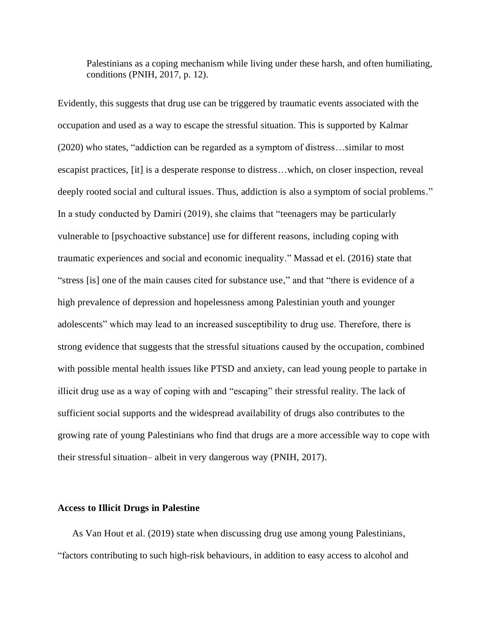Palestinians as a coping mechanism while living under these harsh, and often humiliating, conditions (PNIH, 2017, p. 12).

Evidently, this suggests that drug use can be triggered by traumatic events associated with the occupation and used as a way to escape the stressful situation. This is supported by Kalmar (2020) who states, "addiction can be regarded as a symptom of distress…similar to most escapist practices, [it] is a desperate response to distress…which, on closer inspection, reveal deeply rooted social and cultural issues. Thus, addiction is also a symptom of social problems." In a study conducted by Damiri (2019), she claims that "teenagers may be particularly vulnerable to [psychoactive substance] use for different reasons, including coping with traumatic experiences and social and economic inequality." Massad et el. (2016) state that "stress [is] one of the main causes cited for substance use," and that "there is evidence of a high prevalence of depression and hopelessness among Palestinian youth and younger adolescents" which may lead to an increased susceptibility to drug use. Therefore, there is strong evidence that suggests that the stressful situations caused by the occupation, combined with possible mental health issues like PTSD and anxiety, can lead young people to partake in illicit drug use as a way of coping with and "escaping" their stressful reality. The lack of sufficient social supports and the widespread availability of drugs also contributes to the growing rate of young Palestinians who find that drugs are a more accessible way to cope with their stressful situation– albeit in very dangerous way (PNIH, 2017).

#### **Access to Illicit Drugs in Palestine**

As Van Hout et al. (2019) state when discussing drug use among young Palestinians, "factors contributing to such high-risk behaviours, in addition to easy access to alcohol and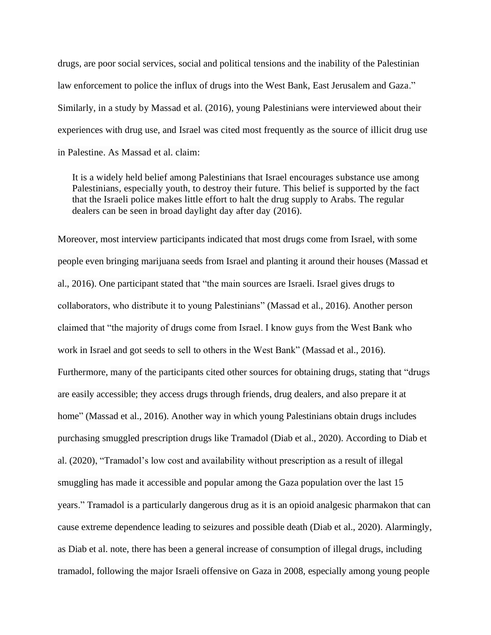drugs, are poor social services, social and political tensions and the inability of the Palestinian law enforcement to police the influx of drugs into the West Bank, East Jerusalem and Gaza." Similarly, in a study by Massad et al. (2016), young Palestinians were interviewed about their experiences with drug use, and Israel was cited most frequently as the source of illicit drug use in Palestine. As Massad et al. claim:

It is a widely held belief among Palestinians that Israel encourages substance use among Palestinians, especially youth, to destroy their future. This belief is supported by the fact that the Israeli police makes little effort to halt the drug supply to Arabs. The regular dealers can be seen in broad daylight day after day (2016).

Moreover, most interview participants indicated that most drugs come from Israel, with some people even bringing marijuana seeds from Israel and planting it around their houses (Massad et al., 2016). One participant stated that "the main sources are Israeli. Israel gives drugs to collaborators, who distribute it to young Palestinians" (Massad et al., 2016). Another person claimed that "the majority of drugs come from Israel. I know guys from the West Bank who work in Israel and got seeds to sell to others in the West Bank" (Massad et al., 2016). Furthermore, many of the participants cited other sources for obtaining drugs, stating that "drugs are easily accessible; they access drugs through friends, drug dealers, and also prepare it at home" (Massad et al., 2016). Another way in which young Palestinians obtain drugs includes purchasing smuggled prescription drugs like Tramadol (Diab et al., 2020). According to Diab et al. (2020), "Tramadol's low cost and availability without prescription as a result of illegal smuggling has made it accessible and popular among the Gaza population over the last 15 years." Tramadol is a particularly dangerous drug as it is an opioid analgesic pharmakon that can cause extreme dependence leading to seizures and possible death (Diab et al., 2020). Alarmingly, as Diab et al. note, there has been a general increase of consumption of illegal drugs, including tramadol, following the major Israeli offensive on Gaza in 2008, especially among young people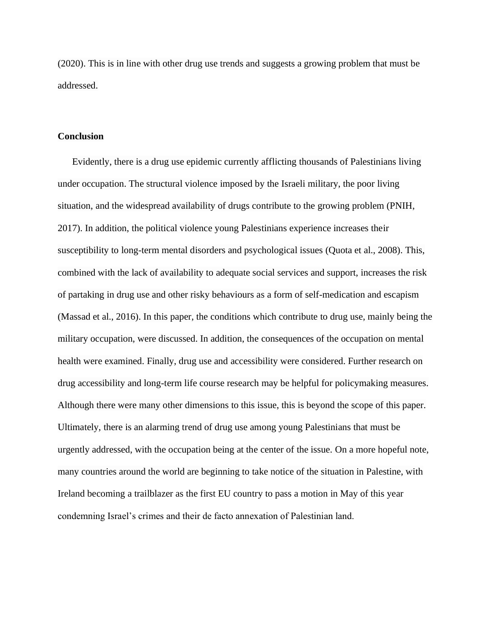(2020). This is in line with other drug use trends and suggests a growing problem that must be addressed.

#### **Conclusion**

Evidently, there is a drug use epidemic currently afflicting thousands of Palestinians living under occupation. The structural violence imposed by the Israeli military, the poor living situation, and the widespread availability of drugs contribute to the growing problem (PNIH, 2017). In addition, the political violence young Palestinians experience increases their susceptibility to long-term mental disorders and psychological issues (Quota et al., 2008). This, combined with the lack of availability to adequate social services and support, increases the risk of partaking in drug use and other risky behaviours as a form of self-medication and escapism (Massad et al., 2016). In this paper, the conditions which contribute to drug use, mainly being the military occupation, were discussed. In addition, the consequences of the occupation on mental health were examined. Finally, drug use and accessibility were considered. Further research on drug accessibility and long-term life course research may be helpful for policymaking measures. Although there were many other dimensions to this issue, this is beyond the scope of this paper. Ultimately, there is an alarming trend of drug use among young Palestinians that must be urgently addressed, with the occupation being at the center of the issue. On a more hopeful note, many countries around the world are beginning to take notice of the situation in Palestine, with Ireland becoming a trailblazer as the first EU country to pass a motion in May of this year condemning Israel's crimes and their de facto annexation of Palestinian land.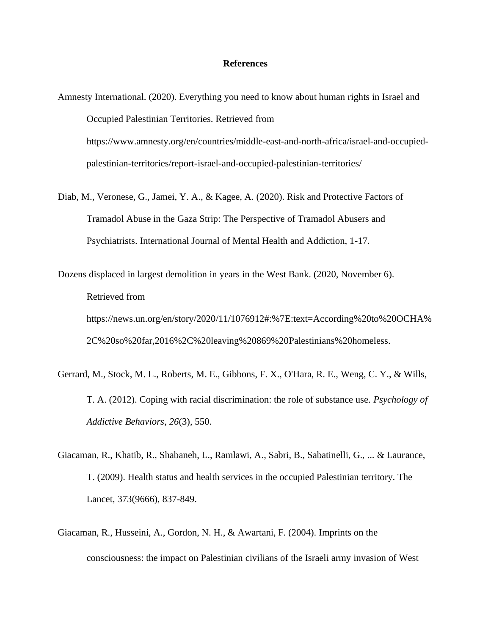#### **References**

- Amnesty International. (2020). Everything you need to know about human rights in Israel and Occupied Palestinian Territories. Retrieved from https://www.amnesty.org/en/countries/middle-east-and-north-africa/israel-and-occupiedpalestinian-territories/report-israel-and-occupied-palestinian-territories/
- Diab, M., Veronese, G., Jamei, Y. A., & Kagee, A. (2020). Risk and Protective Factors of Tramadol Abuse in the Gaza Strip: The Perspective of Tramadol Abusers and Psychiatrists. International Journal of Mental Health and Addiction, 1-17.
- Dozens displaced in largest demolition in years in the West Bank. (2020, November 6). Retrieved from https://news.un.org/en/story/2020/11/1076912#:%7E:text=According%20to%20OCHA% 2C%20so%20far,2016%2C%20leaving%20869%20Palestinians%20homeless.
- Gerrard, M., Stock, M. L., Roberts, M. E., Gibbons, F. X., O'Hara, R. E., Weng, C. Y., & Wills, T. A. (2012). Coping with racial discrimination: the role of substance use. *Psychology of Addictive Behaviors*, *26*(3), 550.
- Giacaman, R., Khatib, R., Shabaneh, L., Ramlawi, A., Sabri, B., Sabatinelli, G., ... & Laurance, T. (2009). Health status and health services in the occupied Palestinian territory. The Lancet, 373(9666), 837-849.
- Giacaman, R., Husseini, A., Gordon, N. H., & Awartani, F. (2004). Imprints on the consciousness: the impact on Palestinian civilians of the Israeli army invasion of West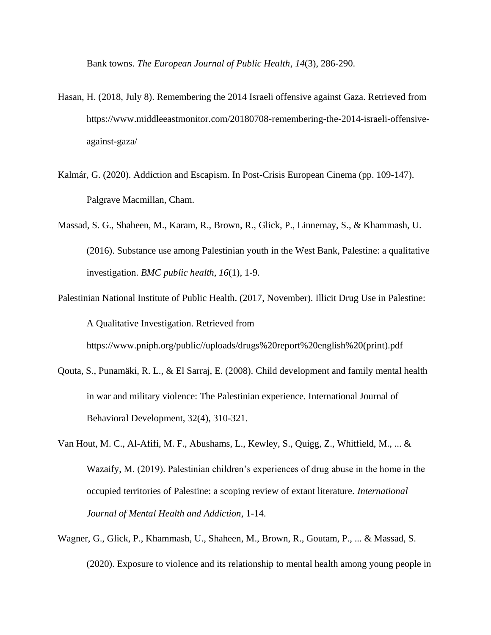Bank towns. *The European Journal of Public Health*, *14*(3), 286-290.

- Hasan, H. (2018, July 8). Remembering the 2014 Israeli offensive against Gaza. Retrieved from https://www.middleeastmonitor.com/20180708-remembering-the-2014-israeli-offensiveagainst-gaza/
- Kalmár, G. (2020). Addiction and Escapism. In Post-Crisis European Cinema (pp. 109-147). Palgrave Macmillan, Cham.
- Massad, S. G., Shaheen, M., Karam, R., Brown, R., Glick, P., Linnemay, S., & Khammash, U. (2016). Substance use among Palestinian youth in the West Bank, Palestine: a qualitative investigation. *BMC public health*, *16*(1), 1-9.
- Palestinian National Institute of Public Health. (2017, November). Illicit Drug Use in Palestine: A Qualitative Investigation. Retrieved from

https://www.pniph.org/public//uploads/drugs%20report%20english%20(print).pdf

- Qouta, S., Punamäki, R. L., & El Sarraj, E. (2008). Child development and family mental health in war and military violence: The Palestinian experience. International Journal of Behavioral Development, 32(4), 310-321.
- Van Hout, M. C., Al-Afifi, M. F., Abushams, L., Kewley, S., Quigg, Z., Whitfield, M., ... & Wazaify, M. (2019). Palestinian children's experiences of drug abuse in the home in the occupied territories of Palestine: a scoping review of extant literature. *International Journal of Mental Health and Addiction*, 1-14.
- Wagner, G., Glick, P., Khammash, U., Shaheen, M., Brown, R., Goutam, P., ... & Massad, S. (2020). Exposure to violence and its relationship to mental health among young people in